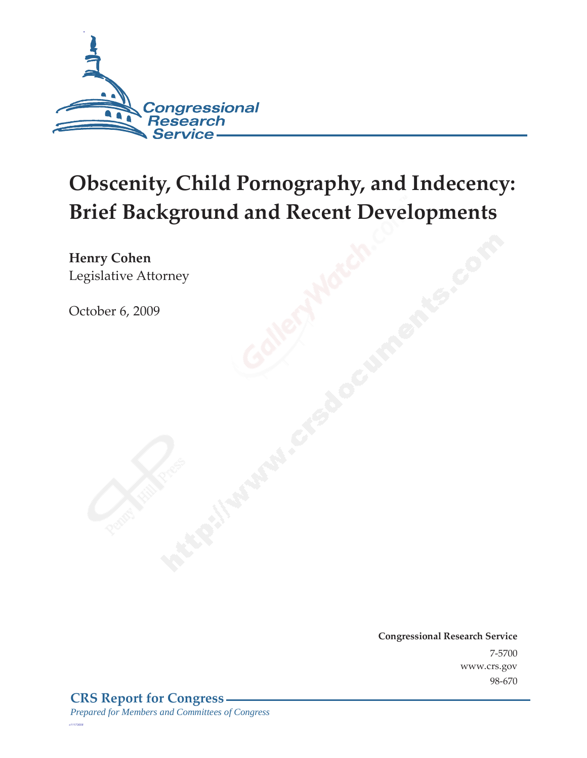

# **Obscenity, Child Pornography, and Indecency: Brief Background and Recent Developments**

**Henry Cohen**  Legislative Attorney

October 6, 2009

**Congressional Research Service** 7-5700 www.crs.gov 98-670

*c11173008*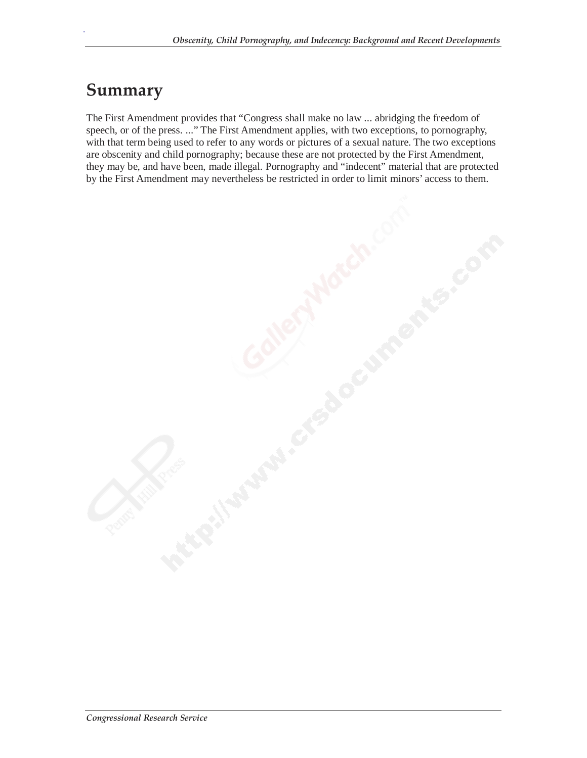#### **Summary**

.

The First Amendment provides that "Congress shall make no law ... abridging the freedom of speech, or of the press. ..." The First Amendment applies, with two exceptions, to pornography, with that term being used to refer to any words or pictures of a sexual nature. The two exceptions are obscenity and child pornography; because these are not protected by the First Amendment, they may be, and have been, made illegal. Pornography and "indecent" material that are protected by the First Amendment may nevertheless be restricted in order to limit minors' access to them.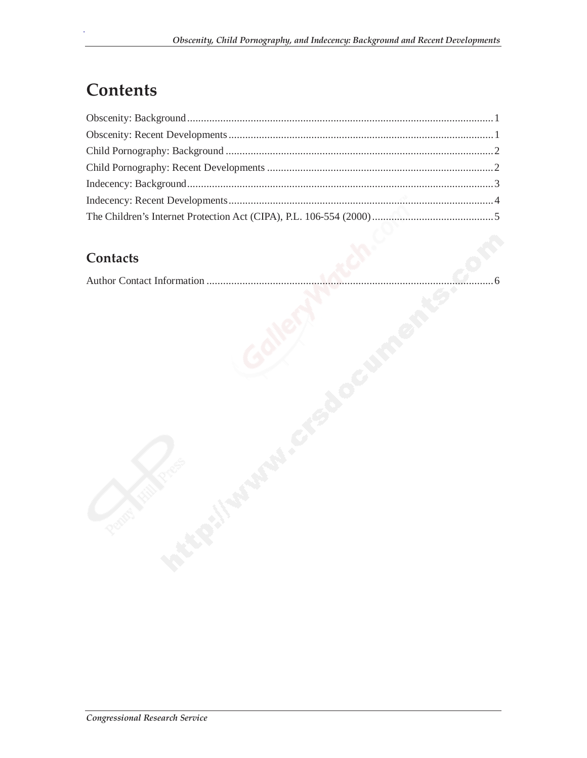# **Contents**

.

#### **Contacts**

|--|--|--|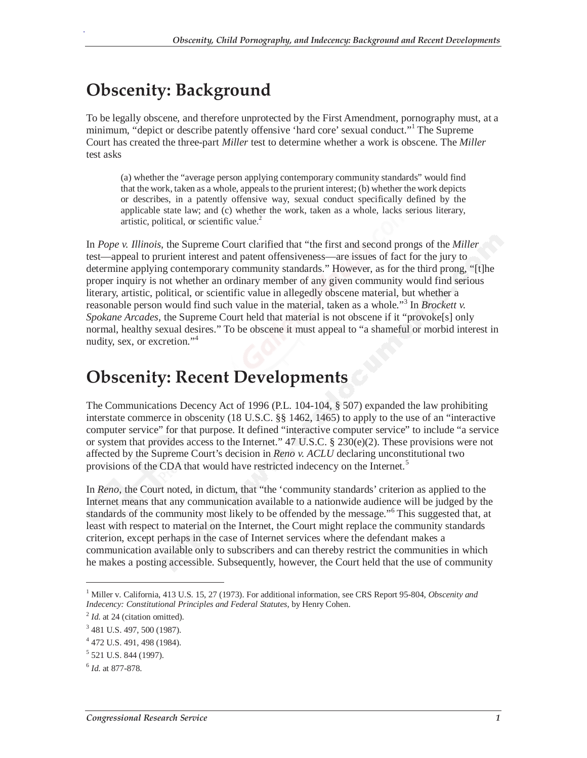# **Obscenity: Background**

.

To be legally obscene, and therefore unprotected by the First Amendment, pornography must, at a minimum, "depict or describe patently offensive 'hard core' sexual conduct."<sup>1</sup> The Supreme Court has created the three-part *Miller* test to determine whether a work is obscene. The *Miller* test asks

(a) whether the "average person applying contemporary community standards" would find that the work, taken as a whole, appeals to the prurient interest; (b) whether the work depicts or describes, in a patently offensive way, sexual conduct specifically defined by the applicable state law; and (c) whether the work, taken as a whole, lacks serious literary, artistic, political, or scientific value.<sup>2</sup>

In *Pope v. Illinois*, the Supreme Court clarified that "the first and second prongs of the *Miller* test—appeal to prurient interest and patent offensiveness—are issues of fact for the jury to determine applying contemporary community standards." However, as for the third prong, "[t]he proper inquiry is not whether an ordinary member of any given community would find serious literary, artistic, political, or scientific value in allegedly obscene material, but whether a reasonable person would find such value in the material, taken as a whole."<sup>3</sup> In *Brockett v*. *Spokane Arcades*, the Supreme Court held that material is not obscene if it "provoke[s] only normal, healthy sexual desires." To be obscene it must appeal to "a shameful or morbid interest in nudity, sex, or excretion."<sup>4</sup>

### **Obscenity: Recent Developments**

The Communications Decency Act of 1996 (P.L. 104-104, § 507) expanded the law prohibiting interstate commerce in obscenity (18 U.S.C. §§ 1462, 1465) to apply to the use of an "interactive computer service" for that purpose. It defined "interactive computer service" to include "a service or system that provides access to the Internet."  $47 \text{ U.S.C.} \$   $230(e)(2)$ . These provisions were not affected by the Supreme Court's decision in *Reno v. ACLU* declaring unconstitutional two provisions of the CDA that would have restricted indecency on the Internet.<sup>5</sup>

In *Reno*, the Court noted, in dictum, that "the 'community standards' criterion as applied to the Internet means that any communication available to a nationwide audience will be judged by the standards of the community most likely to be offended by the message."<sup>6</sup> This suggested that, at least with respect to material on the Internet, the Court might replace the community standards criterion, except perhaps in the case of Internet services where the defendant makes a communication available only to subscribers and can thereby restrict the communities in which he makes a posting accessible. Subsequently, however, the Court held that the use of community

-

<sup>&</sup>lt;sup>1</sup> Miller v. California, 413 U.S. 15, 27 (1973). For additional information, see CRS Report 95-804, *Obscenity and Indecency: Constitutional Principles and Federal Statutes*, by Henry Cohen.

<sup>&</sup>lt;sup>2</sup> *Id.* at 24 (citation omitted).

<sup>&</sup>lt;sup>3</sup> 481 U.S. 497, 500 (1987).

<sup>4</sup> 472 U.S. 491, 498 (1984).

<sup>&</sup>lt;sup>5</sup> 521 U.S. 844 (1997).

<sup>6</sup> *Id*. at 877-878.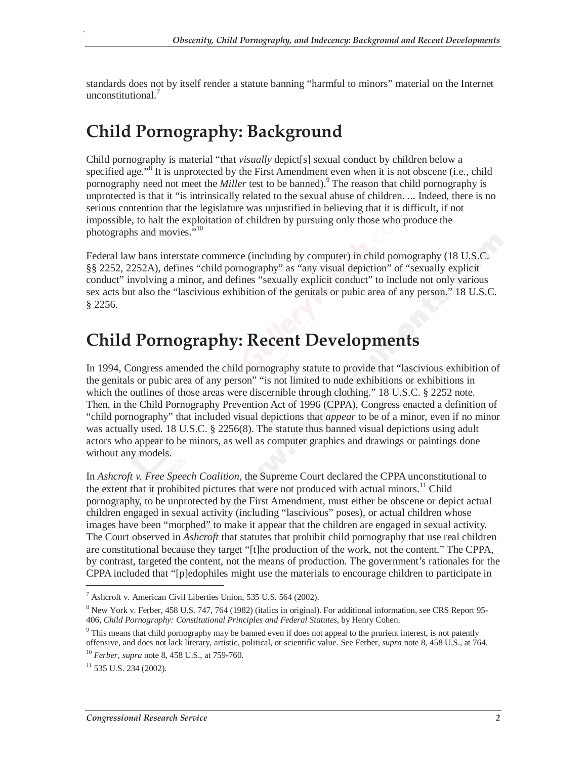standards does not by itself render a statute banning "harmful to minors" material on the Internet unconstitutional.<sup>7</sup>

### **Child Pornography: Background**

Child pornography is material "that *visually* depict[s] sexual conduct by children below a specified age."<sup>8</sup> It is unprotected by the First Amendment even when it is not obscene (i.e., child pornography need not meet the *Miller* test to be banned).<sup>9</sup> The reason that child pornography is unprotected is that it "is intrinsically related to the sexual abuse of children. ... Indeed, there is no serious contention that the legislature was unjustified in believing that it is difficult, if not impossible, to halt the exploitation of children by pursuing only those who produce the photographs and movies. $\frac{100}{10}$ 

Federal law bans interstate commerce (including by computer) in child pornography (18 U.S.C. §§ 2252, 2252A), defines "child pornography" as "any visual depiction" of "sexually explicit conduct" involving a minor, and defines "sexually explicit conduct" to include not only various sex acts but also the "lascivious exhibition of the genitals or pubic area of any person." 18 U.S.C. § 2256.

### **Child Pornography: Recent Developments**

In 1994, Congress amended the child pornography statute to provide that "lascivious exhibition of the genitals or pubic area of any person" "is not limited to nude exhibitions or exhibitions in which the outlines of those areas were discernible through clothing." 18 U.S.C. § 2252 note. Then, in the Child Pornography Prevention Act of 1996 (CPPA), Congress enacted a definition of "child pornography" that included visual depictions that *appear* to be of a minor, even if no minor was actually used. 18 U.S.C. § 2256(8). The statute thus banned visual depictions using adult actors who appear to be minors, as well as computer graphics and drawings or paintings done without any models.

In *Ashcroft v. Free Speech Coalition*, the Supreme Court declared the CPPA unconstitutional to the extent that it prohibited pictures that were not produced with actual minors.<sup>11</sup> Child pornography, to be unprotected by the First Amendment, must either be obscene or depict actual children engaged in sexual activity (including "lascivious" poses), or actual children whose images have been "morphed" to make it appear that the children are engaged in sexual activity. The Court observed in *Ashcroft* that statutes that prohibit child pornography that use real children are constitutional because they target "[t]he production of the work, not the content." The CPPA, by contrast, targeted the content, not the means of production. The government's rationales for the CPPA included that "[p]edophiles might use the materials to encourage children to participate in

<u>.</u>

<sup>7</sup> Ashcroft v. American Civil Liberties Union, 535 U.S. 564 (2002).

<sup>&</sup>lt;sup>8</sup> New York v. Ferber, 458 U.S. 747, 764 (1982) (italics in original). For additional information, see CRS Report 95-406, *Child Pornography: Constitutional Principles and Federal Statutes*, by Henry Cohen.

<sup>&</sup>lt;sup>9</sup> This means that child pornography may be banned even if does not appeal to the prurient interest, is not patently offensive, and does not lack literary, artistic, political, or scientific value. See Ferber, *supra* note 8, 458 U.S., at 764. 10 *Ferber*, *supra* note 8, 458 U.S., at 759-760.

 $11$  535 U.S. 234 (2002).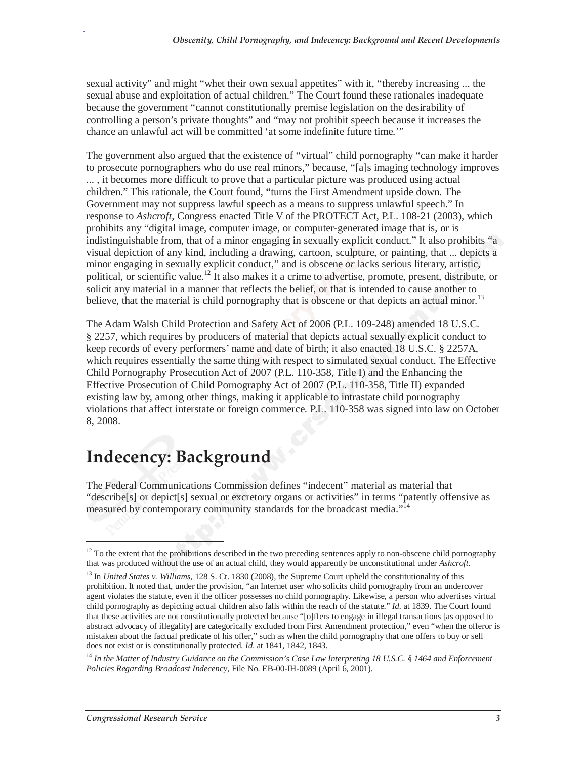sexual activity" and might "whet their own sexual appetites" with it, "thereby increasing ... the sexual abuse and exploitation of actual children." The Court found these rationales inadequate because the government "cannot constitutionally premise legislation on the desirability of controlling a person's private thoughts" and "may not prohibit speech because it increases the chance an unlawful act will be committed 'at some indefinite future time.'"

The government also argued that the existence of "virtual" child pornography "can make it harder to prosecute pornographers who do use real minors," because, "[a]s imaging technology improves ... , it becomes more difficult to prove that a particular picture was produced using actual children." This rationale, the Court found, "turns the First Amendment upside down. The Government may not suppress lawful speech as a means to suppress unlawful speech." In response to *Ashcroft*, Congress enacted Title V of the PROTECT Act, P.L. 108-21 (2003), which prohibits any "digital image, computer image, or computer-generated image that is, or is indistinguishable from, that of a minor engaging in sexually explicit conduct." It also prohibits "a visual depiction of any kind, including a drawing, cartoon, sculpture, or painting, that ... depicts a minor engaging in sexually explicit conduct," and is obscene *or* lacks serious literary, artistic, political, or scientific value.<sup>12</sup> It also makes it a crime to advertise, promote, present, distribute, or solicit any material in a manner that reflects the belief, or that is intended to cause another to believe, that the material is child pornography that is obscene or that depicts an actual minor.<sup>13</sup>

The Adam Walsh Child Protection and Safety Act of 2006 (P.L. 109-248) amended 18 U.S.C. § 2257, which requires by producers of material that depicts actual sexually explicit conduct to keep records of every performers' name and date of birth; it also enacted 18 U.S.C. § 2257A, which requires essentially the same thing with respect to simulated sexual conduct. The Effective Child Pornography Prosecution Act of 2007 (P.L. 110-358, Title I) and the Enhancing the Effective Prosecution of Child Pornography Act of 2007 (P.L. 110-358, Title II) expanded existing law by, among other things, making it applicable to intrastate child pornography violations that affect interstate or foreign commerce. P.L. 110-358 was signed into law on October 8, 2008.

# **Indecency: Background**

The Federal Communications Commission defines "indecent" material as material that "describe[s] or depict[s] sexual or excretory organs or activities" in terms "patently offensive as measured by contemporary community standards for the broadcast media."<sup>14</sup>

-

 $12$  To the extent that the prohibitions described in the two preceding sentences apply to non-obscene child pornography that was produced without the use of an actual child, they would apparently be unconstitutional under *Ashcroft*.

<sup>&</sup>lt;sup>13</sup> In *United States v. Williams*, 128 S. Ct. 1830 (2008), the Supreme Court upheld the constitutionality of this prohibition. It noted that, under the provision, "an Internet user who solicits child pornography from an undercover agent violates the statute, even if the officer possesses no child pornography. Likewise, a person who advertises virtual child pornography as depicting actual children also falls within the reach of the statute." *Id.* at 1839. The Court found that these activities are not constitutionally protected because "[o]ffers to engage in illegal transactions [as opposed to abstract advocacy of illegality] are categorically excluded from First Amendment protection," even "when the offeror is mistaken about the factual predicate of his offer," such as when the child pornography that one offers to buy or sell does not exist or is constitutionally protected. *Id*. at 1841, 1842, 1843.

<sup>14</sup> *In the Matter of Industry Guidance on the Commission's Case Law Interpreting 18 U.S.C. § 1464 and Enforcement Policies Regarding Broadcast Indecency*, File No. EB-00-IH-0089 (April 6, 2001).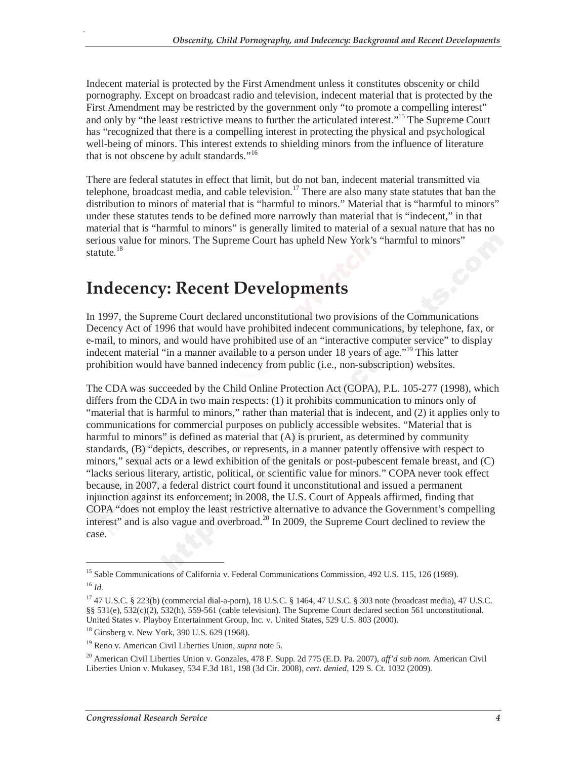Indecent material is protected by the First Amendment unless it constitutes obscenity or child pornography. Except on broadcast radio and television, indecent material that is protected by the First Amendment may be restricted by the government only "to promote a compelling interest" and only by "the least restrictive means to further the articulated interest."15 The Supreme Court has "recognized that there is a compelling interest in protecting the physical and psychological well-being of minors. This interest extends to shielding minors from the influence of literature that is not obscene by adult standards."<sup>16</sup>

There are federal statutes in effect that limit, but do not ban, indecent material transmitted via telephone, broadcast media, and cable television.<sup>17</sup> There are also many state statutes that ban the distribution to minors of material that is "harmful to minors." Material that is "harmful to minors" under these statutes tends to be defined more narrowly than material that is "indecent," in that material that is "harmful to minors" is generally limited to material of a sexual nature that has no serious value for minors. The Supreme Court has upheld New York's "harmful to minors" statute.<sup>18</sup>

#### **Indecency: Recent Developments**

In 1997, the Supreme Court declared unconstitutional two provisions of the Communications Decency Act of 1996 that would have prohibited indecent communications, by telephone, fax, or e-mail, to minors, and would have prohibited use of an "interactive computer service" to display indecent material "in a manner available to a person under 18 years of age."<sup>19</sup> This latter prohibition would have banned indecency from public (i.e., non-subscription) websites.

The CDA was succeeded by the Child Online Protection Act (COPA), P.L. 105-277 (1998), which differs from the CDA in two main respects: (1) it prohibits communication to minors only of "material that is harmful to minors," rather than material that is indecent, and (2) it applies only to communications for commercial purposes on publicly accessible websites. "Material that is harmful to minors" is defined as material that  $(A)$  is prurient, as determined by community standards, (B) "depicts, describes, or represents, in a manner patently offensive with respect to minors," sexual acts or a lewd exhibition of the genitals or post-pubescent female breast, and (C) "lacks serious literary, artistic, political, or scientific value for minors." COPA never took effect because, in 2007, a federal district court found it unconstitutional and issued a permanent injunction against its enforcement; in 2008, the U.S. Court of Appeals affirmed, finding that COPA "does not employ the least restrictive alternative to advance the Government's compelling interest" and is also vague and overbroad.<sup>20</sup> In 2009, the Supreme Court declined to review the case.

-

<sup>&</sup>lt;sup>15</sup> Sable Communications of California v. Federal Communications Commission, 492 U.S. 115, 126 (1989). <sup>16</sup> *Id*.

<sup>17 47</sup> U.S.C. § 223(b) (commercial dial-a-porn), 18 U.S.C. § 1464, 47 U.S.C. § 303 note (broadcast media), 47 U.S.C. §§ 531(e), 532(c)(2), 532(h), 559-561 (cable television). The Supreme Court declared section 561 unconstitutional. United States v. Playboy Entertainment Group, Inc. v. United States, 529 U.S. 803 (2000).

<sup>&</sup>lt;sup>18</sup> Ginsberg v. New York, 390 U.S. 629 (1968).

<sup>19</sup> Reno v. American Civil Liberties Union, *supra* note 5.

<sup>20</sup> American Civil Liberties Union v. Gonzales, 478 F. Supp. 2d 775 (E.D. Pa. 2007), *aff'd sub nom.* American Civil Liberties Union v. Mukasey, 534 F.3d 181, 198 (3d Cir. 2008), *cert. denied*, 129 S. Ct. 1032 (2009).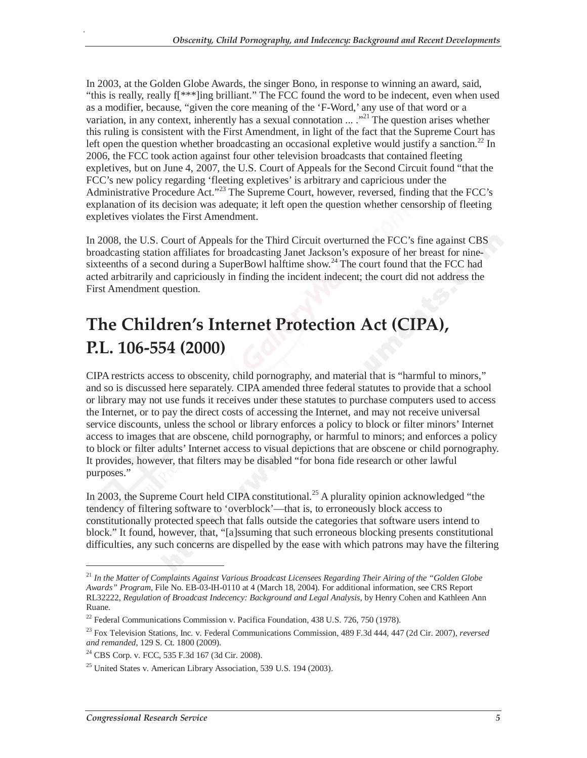In 2003, at the Golden Globe Awards, the singer Bono, in response to winning an award, said, "this is really, really f[\*\*\*]ing brilliant." The FCC found the word to be indecent, even when used as a modifier, because, "given the core meaning of the 'F-Word,' any use of that word or a variation, in any context, inherently has a sexual connotation  $\ldots$   $\cdot$ <sup>21</sup>. The question arises whether this ruling is consistent with the First Amendment, in light of the fact that the Supreme Court has left open the question whether broadcasting an occasional expletive would justify a sanction.<sup>22</sup> In 2006, the FCC took action against four other television broadcasts that contained fleeting expletives, but on June 4, 2007, the U.S. Court of Appeals for the Second Circuit found "that the FCC's new policy regarding 'fleeting expletives' is arbitrary and capricious under the Administrative Procedure Act."<sup>23</sup> The Supreme Court, however, reversed, finding that the FCC's explanation of its decision was adequate; it left open the question whether censorship of fleeting expletives violates the First Amendment.

In 2008, the U.S. Court of Appeals for the Third Circuit overturned the FCC's fine against CBS broadcasting station affiliates for broadcasting Janet Jackson's exposure of her breast for ninesixteenths of a second during a SuperBowl halftime show.<sup>24</sup> The court found that the FCC had acted arbitrarily and capriciously in finding the incident indecent; the court did not address the First Amendment question.

# **The Children's Internet Protection Act (CIPA), P.L. 106-554 (2000)**

CIPA restricts access to obscenity, child pornography, and material that is "harmful to minors," and so is discussed here separately. CIPA amended three federal statutes to provide that a school or library may not use funds it receives under these statutes to purchase computers used to access the Internet, or to pay the direct costs of accessing the Internet, and may not receive universal service discounts, unless the school or library enforces a policy to block or filter minors' Internet access to images that are obscene, child pornography, or harmful to minors; and enforces a policy to block or filter adults' Internet access to visual depictions that are obscene or child pornography. It provides, however, that filters may be disabled "for bona fide research or other lawful purposes."

In 2003, the Supreme Court held CIPA constitutional.<sup>25</sup> A plurality opinion acknowledged "the tendency of filtering software to 'overblock'—that is, to erroneously block access to constitutionally protected speech that falls outside the categories that software users intend to block." It found, however, that, "[a]ssuming that such erroneous blocking presents constitutional difficulties, any such concerns are dispelled by the ease with which patrons may have the filtering

<u>.</u>

<sup>21</sup> *In the Matter of Complaints Against Various Broadcast Licensees Regarding Their Airing of the "Golden Globe Awards" Program*, File No. EB-03-IH-0110 at 4 (March 18, 2004). For additional information, see CRS Report RL32222, *Regulation of Broadcast Indecency: Background and Legal Analysis*, by Henry Cohen and Kathleen Ann Ruane.

<sup>&</sup>lt;sup>22</sup> Federal Communications Commission v. Pacifica Foundation, 438 U.S. 726, 750 (1978).

<sup>&</sup>lt;sup>23</sup> Fox Television Stations, Inc. v. Federal Communications Commission, 489 F.3d 444, 447 (2d Cir. 2007), *reversed and remanded*, 129 S. Ct. 1800 (2009).

<sup>&</sup>lt;sup>24</sup> CBS Corp. v. FCC, 535 F.3d 167 (3d Cir. 2008).

<sup>25</sup> United States v. American Library Association, 539 U.S. 194 (2003).